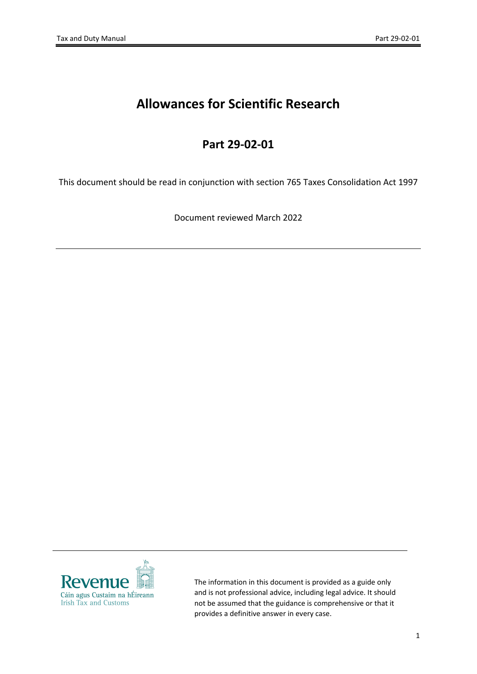# **Allowances for Scientific Research**

## **Part 29-02-01**

This document should be read in conjunction with section 765 Taxes Consolidation Act 1997

Document reviewed March 2022



The information in this document is provided as a guide only and is not professional advice, including legal advice. It should not be assumed that the guidance is comprehensive or that it provides a definitive answer in every case.